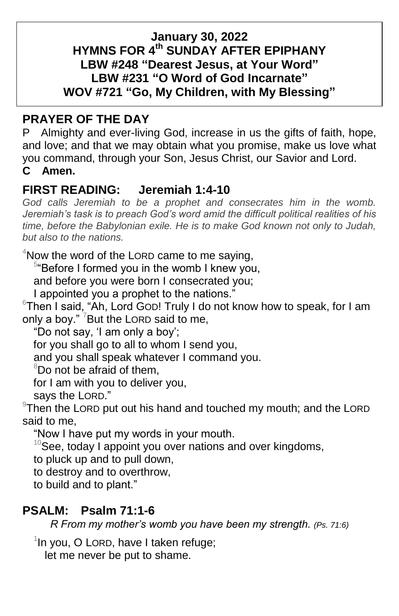### **January 30, 2022 HYMNS FOR 4 th SUNDAY AFTER EPIPHANY LBW #248 "Dearest Jesus, at Your Word" LBW #231 "O Word of God Incarnate" WOV #721 "Go, My Children, with My Blessing"**

# **PRAYER OF THE DAY**

P Almighty and ever-living God, increase in us the gifts of faith, hope, and love; and that we may obtain what you promise, make us love what you command, through your Son, Jesus Christ, our Savior and Lord. **C Amen.**

## **FIRST READING: Jeremiah 1:4-10**

*God calls Jeremiah to be a prophet and consecrates him in the womb. Jeremiah's task is to preach God's word amid the difficult political realities of his time, before the Babylonian exile. He is to make God known not only to Judah, but also to the nations.*

 $4$ Now the word of the LORD came to me saying,

<sup>5</sup>"Before I formed you in the womb I knew you,

and before you were born I consecrated you;

I appointed you a prophet to the nations."

 $6$ Then I said, "Ah, Lord GOD! Truly I do not know how to speak, for I am only a boy."  $7$  But the LORD said to me,

"Do not say, 'I am only a boy';

for you shall go to all to whom I send you,

and you shall speak whatever I command you.

 $8D$ o not be afraid of them.

for I am with you to deliver you,

says the LORD."

 $9$ Then the LORD put out his hand and touched my mouth; and the LORD said to me,

"Now I have put my words in your mouth.

 $10$ See, today I appoint you over nations and over kingdoms,

to pluck up and to pull down,

to destroy and to overthrow,

to build and to plant."

## **PSALM: Psalm 71:1-6**

*R From my mother's womb you have been my strength. (Ps. 71:6)*

<sup>1</sup>In you, O LORD, have I taken refuge;

let me never be put to shame.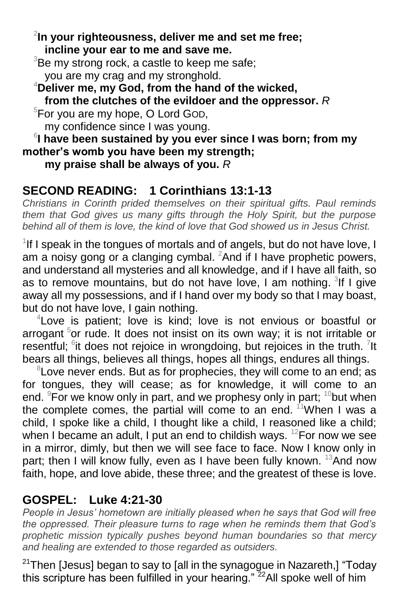2 **In your righteousness, deliver me and set me free; incline your ear to me and save me.**

 $3B$ e my strong rock, a castle to keep me safe; you are my crag and my stronghold.

<sup>4</sup>**Deliver me, my God, from the hand of the wicked, from the clutches of the evildoer and the oppressor.** *R*

 $5$ For you are my hope, O Lord GOD, my confidence since I was young.

6 **I have been sustained by you ever since I was born; from my mother's womb you have been my strength;**

**my praise shall be always of you.** *R*

# **SECOND READING: 1 Corinthians 13:1-13**

*Christians in Corinth prided themselves on their spiritual gifts. Paul reminds them that God gives us many gifts through the Holy Spirit, but the purpose behind all of them is love, the kind of love that God showed us in Jesus Christ.*

<sup>1</sup>If I speak in the tongues of mortals and of angels, but do not have love, I am a noisy gong or a clanging cymbal.  ${}^{2}$ And if I have prophetic powers, and understand all mysteries and all knowledge, and if I have all faith, so as to remove mountains, but do not have love, I am nothing. <sup>3</sup>If I give away all my possessions, and if I hand over my body so that I may boast, but do not have love, I gain nothing.

4 Love is patient; love is kind; love is not envious or boastful or arrogant <sup>5</sup>or rude. It does not insist on its own way; it is not irritable or resentful;  $6$ it does not rejoice in wrongdoing, but rejoices in the truth.  $7$ It bears all things, believes all things, hopes all things, endures all things.

<sup>8</sup> Love never ends. But as for prophecies, they will come to an end; as for tongues, they will cease; as for knowledge, it will come to an end. <sup>9</sup>For we know only in part, and we prophesy only in part;  $10$  but when the complete comes, the partial will come to an end.  $11$  When I was a child, I spoke like a child, I thought like a child, I reasoned like a child; when I became an adult, I put an end to childish ways.  $12$ For now we see in a mirror, dimly, but then we will see face to face. Now I know only in part; then I will know fully, even as I have been fully known. <sup>13</sup>And now faith, hope, and love abide, these three; and the greatest of these is love.

## **GOSPEL: Luke 4:21-30**

*People in Jesus' hometown are initially pleased when he says that God will free the oppressed. Their pleasure turns to rage when he reminds them that God's prophetic mission typically pushes beyond human boundaries so that mercy and healing are extended to those regarded as outsiders.*

 $21$ Then [Jesus] began to say to [all in the synagogue in Nazareth,] "Today this scripture has been fulfilled in your hearing."  $^{22}$ All spoke well of him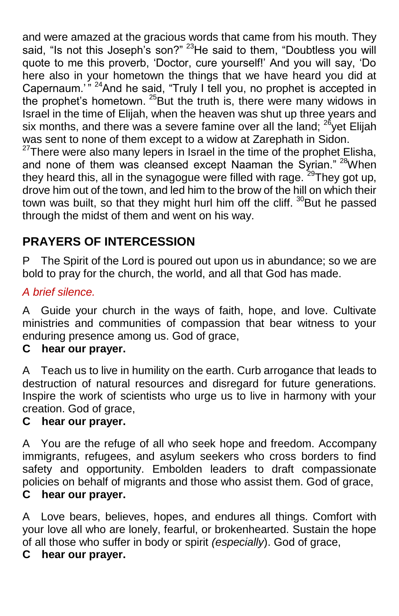and were amazed at the gracious words that came from his mouth. They said, "Is not this Joseph's son?" <sup>23</sup>He said to them, "Doubtless you will quote to me this proverb, 'Doctor, cure yourself!' And you will say, 'Do here also in your hometown the things that we have heard you did at Capernaum.<sup>"</sup><sup>24</sup>And he said, "Truly I tell you, no prophet is accepted in the prophet's hometown. <sup>25</sup>But the truth is, there were many widows in Israel in the time of Elijah, when the heaven was shut up three years and six months, and there was a severe famine over all the land; <sup>26</sup>yet Elijah was sent to none of them except to a widow at Zarephath in Sidon.  $27$ There were also many lepers in Israel in the time of the prophet Elisha,

and none of them was cleansed except Naaman the Syrian." <sup>28</sup>When they heard this, all in the synagogue were filled with rage. <sup>29</sup>They got up, drove him out of the town, and led him to the brow of the hill on which their town was built, so that they might hurl him off the cliff.  $30B$ ut he passed through the midst of them and went on his way.

# **PRAYERS OF INTERCESSION**

P The Spirit of the Lord is poured out upon us in abundance; so we are bold to pray for the church, the world, and all that God has made.

## *A brief silence.*

A Guide your church in the ways of faith, hope, and love. Cultivate ministries and communities of compassion that bear witness to your enduring presence among us. God of grace,

## **C hear our prayer.**

A Teach us to live in humility on the earth. Curb arrogance that leads to destruction of natural resources and disregard for future generations. Inspire the work of scientists who urge us to live in harmony with your creation. God of grace,

## **C hear our prayer.**

A You are the refuge of all who seek hope and freedom. Accompany immigrants, refugees, and asylum seekers who cross borders to find safety and opportunity. Embolden leaders to draft compassionate policies on behalf of migrants and those who assist them. God of grace, **C hear our prayer.**

A Love bears, believes, hopes, and endures all things. Comfort with your love all who are lonely, fearful, or brokenhearted. Sustain the hope of all those who suffer in body or spirit *(especially*). God of grace,

#### **C hear our prayer.**